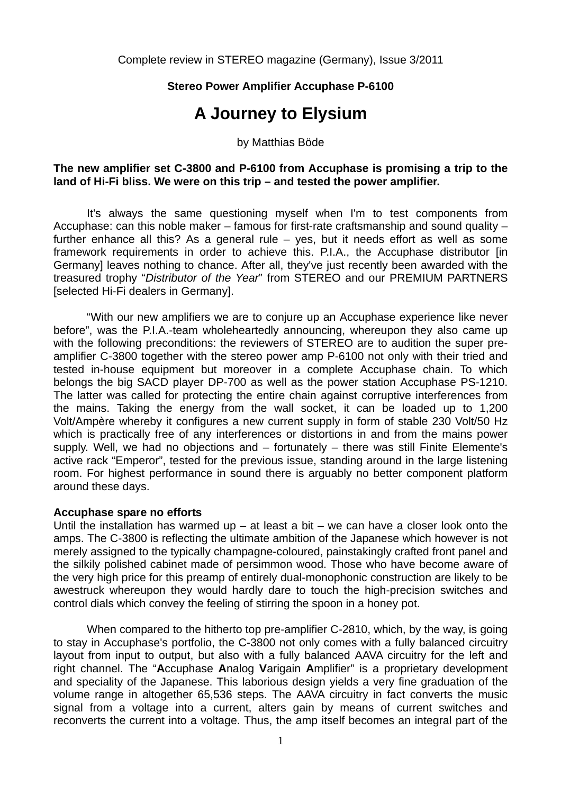# **Stereo Power Amplifier Accuphase P-6100**

# **A Journey to Elysium**

## by Matthias Böde

## **The new amplifier set C-3800 and P-6100 from Accuphase is promising a trip to the land of Hi-Fi bliss. We were on this trip – and tested the power amplifier.**

 It's always the same questioning myself when I'm to test components from Accuphase: can this noble maker – famous for first-rate craftsmanship and sound quality – further enhance all this? As a general rule – yes, but it needs effort as well as some framework requirements in order to achieve this. P.I.A., the Accuphase distributor [in Germany] leaves nothing to chance. After all, they've just recently been awarded with the treasured trophy "*Distributor of the Year*" from STEREO and our PREMIUM PARTNERS [selected Hi-Fi dealers in Germany].

 "With our new amplifiers we are to conjure up an Accuphase experience like never before", was the P.I.A.-team wholeheartedly announcing, whereupon they also came up with the following preconditions: the reviewers of STEREO are to audition the super preamplifier C-3800 together with the stereo power amp P-6100 not only with their tried and tested in-house equipment but moreover in a complete Accuphase chain. To which belongs the big SACD player DP-700 as well as the power station Accuphase PS-1210. The latter was called for protecting the entire chain against corruptive interferences from the mains. Taking the energy from the wall socket, it can be loaded up to 1,200 Volt/Ampère whereby it configures a new current supply in form of stable 230 Volt/50 Hz which is practically free of any interferences or distortions in and from the mains power supply. Well, we had no objections and – fortunately – there was still Finite Elemente's active rack "Emperor", tested for the previous issue, standing around in the large listening room. For highest performance in sound there is arguably no better component platform around these days.

# **Accuphase spare no efforts**

Until the installation has warmed up – at least a bit – we can have a closer look onto the amps. The C-3800 is reflecting the ultimate ambition of the Japanese which however is not merely assigned to the typically champagne-coloured, painstakingly crafted front panel and the silkily polished cabinet made of persimmon wood. Those who have become aware of the very high price for this preamp of entirely dual-monophonic construction are likely to be awestruck whereupon they would hardly dare to touch the high-precision switches and control dials which convey the feeling of stirring the spoon in a honey pot.

 When compared to the hitherto top pre-amplifier C-2810, which, by the way, is going to stay in Accuphase's portfolio, the C-3800 not only comes with a fully balanced circuitry layout from input to output, but also with a fully balanced AAVA circuitry for the left and right channel. The "**A**ccuphase **A**nalog **V**arigain **A**mplifier" is a proprietary development and speciality of the Japanese. This laborious design yields a very fine graduation of the volume range in altogether 65,536 steps. The AAVA circuitry in fact converts the music signal from a voltage into a current, alters gain by means of current switches and reconverts the current into a voltage. Thus, the amp itself becomes an integral part of the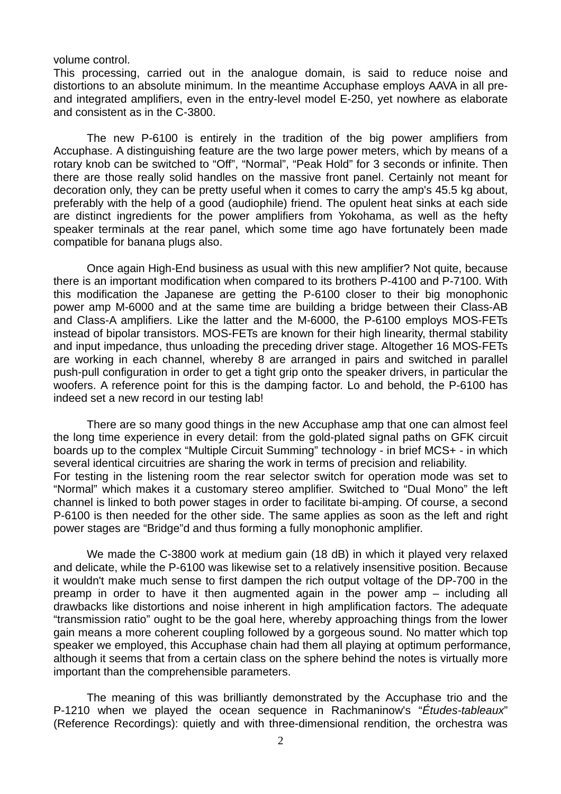#### volume control.

This processing, carried out in the analogue domain, is said to reduce noise and distortions to an absolute minimum. In the meantime Accuphase employs AAVA in all preand integrated amplifiers, even in the entry-level model E-250, yet nowhere as elaborate and consistent as in the C-3800.

 The new P-6100 is entirely in the tradition of the big power amplifiers from Accuphase. A distinguishing feature are the two large power meters, which by means of a rotary knob can be switched to "Off", "Normal", "Peak Hold" for 3 seconds or infinite. Then there are those really solid handles on the massive front panel. Certainly not meant for decoration only, they can be pretty useful when it comes to carry the amp's 45.5 kg about, preferably with the help of a good (audiophile) friend. The opulent heat sinks at each side are distinct ingredients for the power amplifiers from Yokohama, as well as the hefty speaker terminals at the rear panel, which some time ago have fortunately been made compatible for banana plugs also.

 Once again High-End business as usual with this new amplifier? Not quite, because there is an important modification when compared to its brothers P-4100 and P-7100. With this modification the Japanese are getting the P-6100 closer to their big monophonic power amp M-6000 and at the same time are building a bridge between their Class-AB and Class-A amplifiers. Like the latter and the M-6000, the P-6100 employs MOS-FETs instead of bipolar transistors. MOS-FETs are known for their high linearity, thermal stability and input impedance, thus unloading the preceding driver stage. Altogether 16 MOS-FETs are working in each channel, whereby 8 are arranged in pairs and switched in parallel push-pull configuration in order to get a tight grip onto the speaker drivers, in particular the woofers. A reference point for this is the damping factor. Lo and behold, the P-6100 has indeed set a new record in our testing lab!

 There are so many good things in the new Accuphase amp that one can almost feel the long time experience in every detail: from the gold-plated signal paths on GFK circuit boards up to the complex "Multiple Circuit Summing" technology - in brief MCS+ - in which several identical circuitries are sharing the work in terms of precision and reliability. For testing in the listening room the rear selector switch for operation mode was set to "Normal" which makes it a customary stereo amplifier. Switched to "Dual Mono" the left channel is linked to both power stages in order to facilitate bi-amping. Of course, a second P-6100 is then needed for the other side. The same applies as soon as the left and right power stages are "Bridge"d and thus forming a fully monophonic amplifier.

 We made the C-3800 work at medium gain (18 dB) in which it played very relaxed and delicate, while the P-6100 was likewise set to a relatively insensitive position. Because it wouldn't make much sense to first dampen the rich output voltage of the DP-700 in the preamp in order to have it then augmented again in the power amp – including all drawbacks like distortions and noise inherent in high amplification factors. The adequate "transmission ratio" ought to be the goal here, whereby approaching things from the lower gain means a more coherent coupling followed by a gorgeous sound. No matter which top speaker we employed, this Accuphase chain had them all playing at optimum performance, although it seems that from a certain class on the sphere behind the notes is virtually more important than the comprehensible parameters.

 The meaning of this was brilliantly demonstrated by the Accuphase trio and the P-1210 when we played the ocean sequence in Rachmaninow's "*Études-tableaux*" (Reference Recordings): quietly and with three-dimensional rendition, the orchestra was